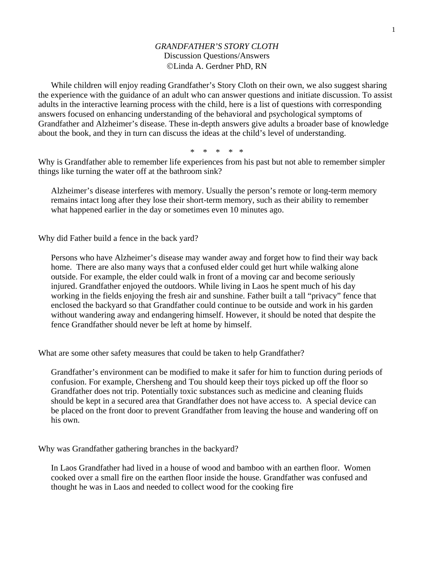## *GRANDFATHER'S STORY CLOTH*  Discussion Questions/Answers ©Linda A. Gerdner PhD, RN

While children will enjoy reading Grandfather's Story Cloth on their own, we also suggest sharing the experience with the guidance of an adult who can answer questions and initiate discussion. To assist adults in the interactive learning process with the child, here is a list of questions with corresponding answers focused on enhancing understanding of the behavioral and psychological symptoms of Grandfather and Alzheimer's disease. These in-depth answers give adults a broader base of knowledge about the book, and they in turn can discuss the ideas at the child's level of understanding.

\* \* \* \* \*

Why is Grandfather able to remember life experiences from his past but not able to remember simpler things like turning the water off at the bathroom sink?

Alzheimer's disease interferes with memory. Usually the person's remote or long-term memory remains intact long after they lose their short-term memory, such as their ability to remember what happened earlier in the day or sometimes even 10 minutes ago.

Why did Father build a fence in the back yard?

Persons who have Alzheimer's disease may wander away and forget how to find their way back home. There are also many ways that a confused elder could get hurt while walking alone outside. For example, the elder could walk in front of a moving car and become seriously injured. Grandfather enjoyed the outdoors. While living in Laos he spent much of his day working in the fields enjoying the fresh air and sunshine. Father built a tall "privacy" fence that enclosed the backyard so that Grandfather could continue to be outside and work in his garden without wandering away and endangering himself. However, it should be noted that despite the fence Grandfather should never be left at home by himself.

What are some other safety measures that could be taken to help Grandfather?

Grandfather's environment can be modified to make it safer for him to function during periods of confusion. For example, Chersheng and Tou should keep their toys picked up off the floor so Grandfather does not trip. Potentially toxic substances such as medicine and cleaning fluids should be kept in a secured area that Grandfather does not have access to. A special device can be placed on the front door to prevent Grandfather from leaving the house and wandering off on his own.

Why was Grandfather gathering branches in the backyard?

In Laos Grandfather had lived in a house of wood and bamboo with an earthen floor. Women cooked over a small fire on the earthen floor inside the house. Grandfather was confused and thought he was in Laos and needed to collect wood for the cooking fire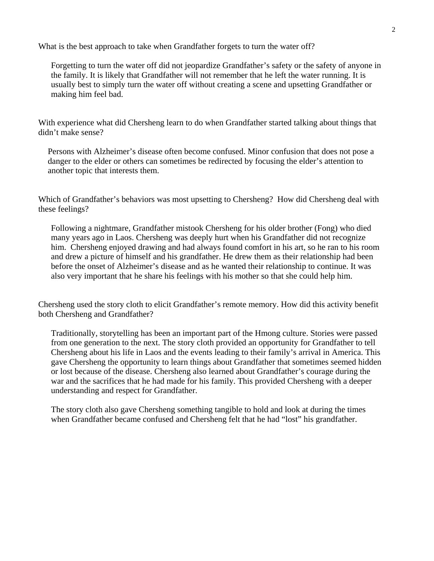What is the best approach to take when Grandfather forgets to turn the water off?

Forgetting to turn the water off did not jeopardize Grandfather's safety or the safety of anyone in the family. It is likely that Grandfather will not remember that he left the water running. It is usually best to simply turn the water off without creating a scene and upsetting Grandfather or making him feel bad.

With experience what did Chersheng learn to do when Grandfather started talking about things that didn't make sense?

Persons with Alzheimer's disease often become confused. Minor confusion that does not pose a danger to the elder or others can sometimes be redirected by focusing the elder's attention to another topic that interests them.

Which of Grandfather's behaviors was most upsetting to Chersheng? How did Chersheng deal with these feelings?

Following a nightmare, Grandfather mistook Chersheng for his older brother (Fong) who died many years ago in Laos. Chersheng was deeply hurt when his Grandfather did not recognize him. Chersheng enjoyed drawing and had always found comfort in his art, so he ran to his room and drew a picture of himself and his grandfather. He drew them as their relationship had been before the onset of Alzheimer's disease and as he wanted their relationship to continue. It was also very important that he share his feelings with his mother so that she could help him.

Chersheng used the story cloth to elicit Grandfather's remote memory. How did this activity benefit both Chersheng and Grandfather?

Traditionally, storytelling has been an important part of the Hmong culture. Stories were passed from one generation to the next. The story cloth provided an opportunity for Grandfather to tell Chersheng about his life in Laos and the events leading to their family's arrival in America. This gave Chersheng the opportunity to learn things about Grandfather that sometimes seemed hidden or lost because of the disease. Chersheng also learned about Grandfather's courage during the war and the sacrifices that he had made for his family. This provided Chersheng with a deeper understanding and respect for Grandfather.

The story cloth also gave Chersheng something tangible to hold and look at during the times when Grandfather became confused and Chersheng felt that he had "lost" his grandfather.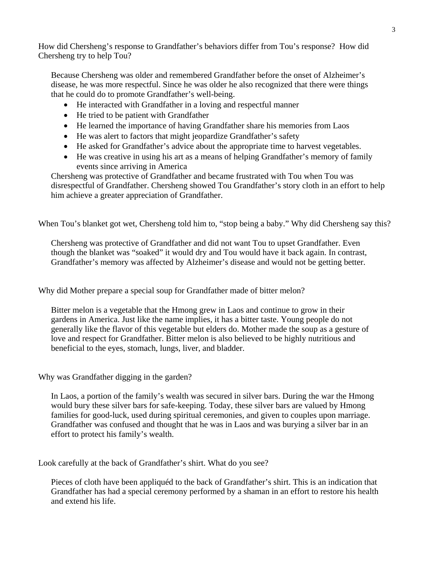How did Chersheng's response to Grandfather's behaviors differ from Tou's response? How did Chersheng try to help Tou?

Because Chersheng was older and remembered Grandfather before the onset of Alzheimer's disease, he was more respectful. Since he was older he also recognized that there were things that he could do to promote Grandfather's well-being.

- He interacted with Grandfather in a loving and respectful manner
- He tried to be patient with Grandfather
- He learned the importance of having Grandfather share his memories from Laos
- He was alert to factors that might jeopardize Grandfather's safety
- He asked for Grandfather's advice about the appropriate time to harvest vegetables.
- He was creative in using his art as a means of helping Grandfather's memory of family events since arriving in America

Chersheng was protective of Grandfather and became frustrated with Tou when Tou was disrespectful of Grandfather. Chersheng showed Tou Grandfather's story cloth in an effort to help him achieve a greater appreciation of Grandfather.

When Tou's blanket got wet, Chersheng told him to, "stop being a baby." Why did Chersheng say this?

Chersheng was protective of Grandfather and did not want Tou to upset Grandfather. Even though the blanket was "soaked" it would dry and Tou would have it back again. In contrast, Grandfather's memory was affected by Alzheimer's disease and would not be getting better.

Why did Mother prepare a special soup for Grandfather made of bitter melon?

Bitter melon is a vegetable that the Hmong grew in Laos and continue to grow in their gardens in America. Just like the name implies, it has a bitter taste. Young people do not generally like the flavor of this vegetable but elders do. Mother made the soup as a gesture of love and respect for Grandfather. Bitter melon is also believed to be highly nutritious and beneficial to the eyes, stomach, lungs, liver, and bladder.

Why was Grandfather digging in the garden?

In Laos, a portion of the family's wealth was secured in silver bars. During the war the Hmong would bury these silver bars for safe-keeping. Today, these silver bars are valued by Hmong families for good-luck, used during spiritual ceremonies, and given to couples upon marriage. Grandfather was confused and thought that he was in Laos and was burying a silver bar in an effort to protect his family's wealth.

Look carefully at the back of Grandfather's shirt. What do you see?

Pieces of cloth have been appliquéd to the back of Grandfather's shirt. This is an indication that Grandfather has had a special ceremony performed by a shaman in an effort to restore his health and extend his life.